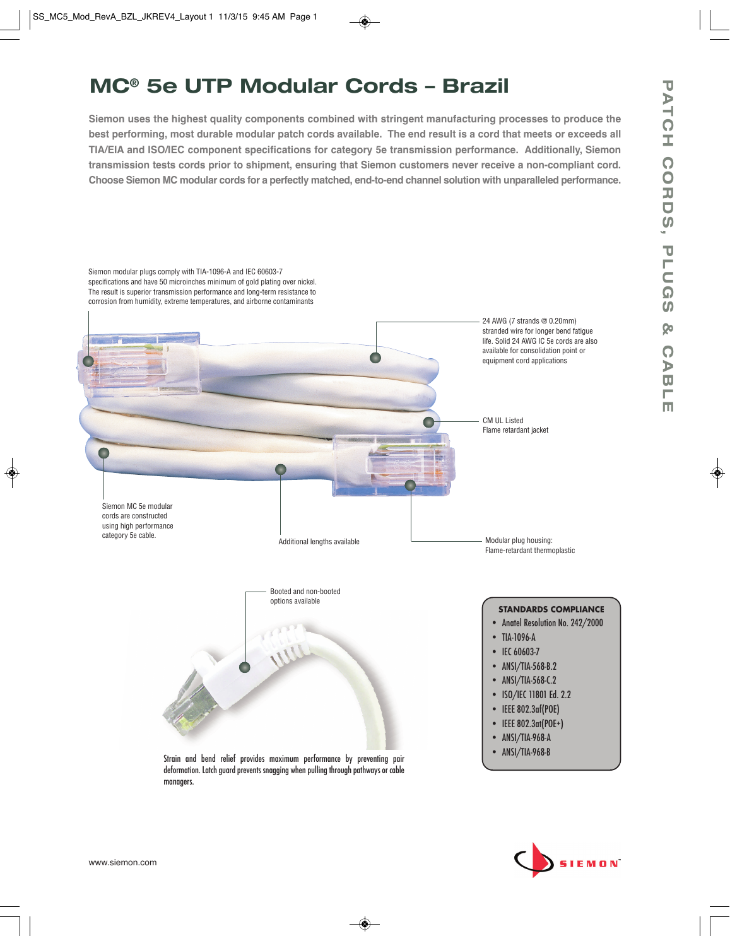# **MC® 5e UTP Modular Cords – Brazil**

**Siemon uses the highest quality components combined with stringent manufacturing processes to produce the best performing, most durable modular patch cords available. The end result is a cord that meets or exceeds all TIA/EIA and ISO/IEC component specifications for category 5e transmission performance. Additionally, Siemon transmission tests cords prior to shipment, ensuring that Siemon customers never receive a non-compliant cord. Choose Siemon MC modular cords for a perfectly matched, end-to-end channel solution with unparalleled performance.**